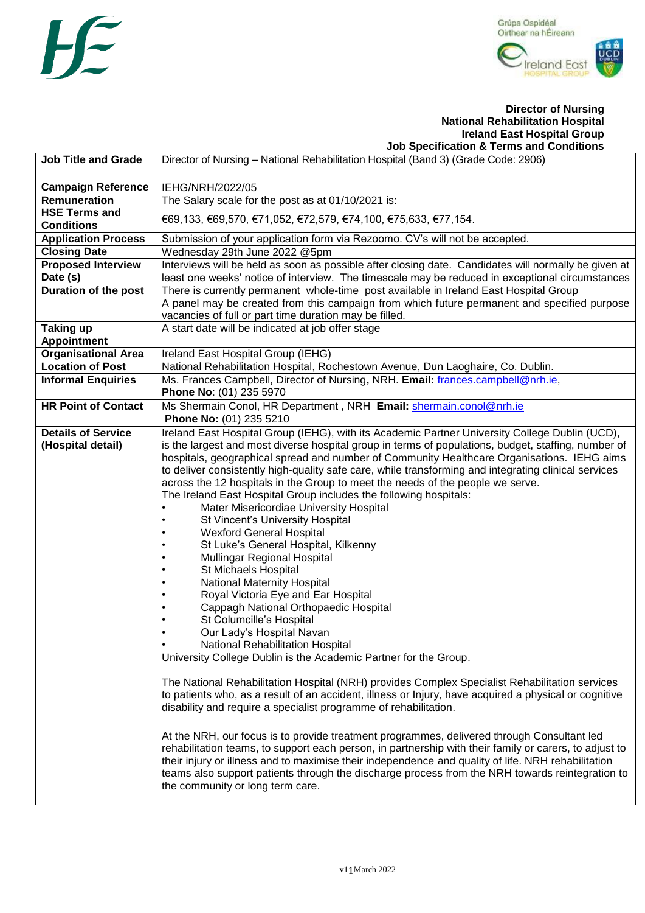



#### **Director of Nursing National Rehabilitation Hospital Ireland East Hospital Group Job Specification & Terms and Conditions**

|                             | <u>oop opcomoditon a Termo dha oonannono</u>                                                                                                                                                       |  |
|-----------------------------|----------------------------------------------------------------------------------------------------------------------------------------------------------------------------------------------------|--|
| <b>Job Title and Grade</b>  | Director of Nursing - National Rehabilitation Hospital (Band 3) (Grade Code: 2906)                                                                                                                 |  |
| <b>Campaign Reference</b>   | IEHG/NRH/2022/05                                                                                                                                                                                   |  |
| <b>Remuneration</b>         | The Salary scale for the post as at 01/10/2021 is:                                                                                                                                                 |  |
| <b>HSE Terms and</b>        |                                                                                                                                                                                                    |  |
| <b>Conditions</b>           | €69,133, €69,570, €71,052, €72,579, €74,100, €75,633, €77,154.                                                                                                                                     |  |
| <b>Application Process</b>  | Submission of your application form via Rezoomo. CV's will not be accepted.                                                                                                                        |  |
| <b>Closing Date</b>         | Wednesday 29th June 2022 @5pm                                                                                                                                                                      |  |
| <b>Proposed Interview</b>   | Interviews will be held as soon as possible after closing date. Candidates will normally be given at                                                                                               |  |
| Date (s)                    | least one weeks' notice of interview. The timescale may be reduced in exceptional circumstances                                                                                                    |  |
| <b>Duration of the post</b> | There is currently permanent whole-time post available in Ireland East Hospital Group                                                                                                              |  |
|                             | A panel may be created from this campaign from which future permanent and specified purpose                                                                                                        |  |
|                             | vacancies of full or part time duration may be filled.                                                                                                                                             |  |
| <b>Taking up</b>            | A start date will be indicated at job offer stage                                                                                                                                                  |  |
| <b>Appointment</b>          |                                                                                                                                                                                                    |  |
| <b>Organisational Area</b>  | Ireland East Hospital Group (IEHG)                                                                                                                                                                 |  |
| <b>Location of Post</b>     | National Rehabilitation Hospital, Rochestown Avenue, Dun Laoghaire, Co. Dublin.<br>Ms. Frances Campbell, Director of Nursing, NRH. Email: frances.campbell@nrh.ie,                                 |  |
| <b>Informal Enquiries</b>   | Phone No: (01) 235 5970                                                                                                                                                                            |  |
| <b>HR Point of Contact</b>  | Ms Shermain Conol, HR Department, NRH Email: shermain.conol@nrh.ie                                                                                                                                 |  |
|                             | Phone No: (01) 235 5210                                                                                                                                                                            |  |
| <b>Details of Service</b>   | Ireland East Hospital Group (IEHG), with its Academic Partner University College Dublin (UCD),                                                                                                     |  |
| (Hospital detail)           | is the largest and most diverse hospital group in terms of populations, budget, staffing, number of                                                                                                |  |
|                             | hospitals, geographical spread and number of Community Healthcare Organisations. IEHG aims<br>to deliver consistently high-quality safe care, while transforming and integrating clinical services |  |
|                             | across the 12 hospitals in the Group to meet the needs of the people we serve.                                                                                                                     |  |
|                             | The Ireland East Hospital Group includes the following hospitals:                                                                                                                                  |  |
|                             | Mater Misericordiae University Hospital                                                                                                                                                            |  |
|                             | St Vincent's University Hospital                                                                                                                                                                   |  |
|                             | <b>Wexford General Hospital</b>                                                                                                                                                                    |  |
|                             | St Luke's General Hospital, Kilkenny                                                                                                                                                               |  |
|                             | Mullingar Regional Hospital                                                                                                                                                                        |  |
|                             | St Michaels Hospital<br>$\bullet$                                                                                                                                                                  |  |
|                             | <b>National Maternity Hospital</b>                                                                                                                                                                 |  |
|                             | Royal Victoria Eye and Ear Hospital                                                                                                                                                                |  |
|                             | Cappagh National Orthopaedic Hospital                                                                                                                                                              |  |
|                             | St Columcille's Hospital                                                                                                                                                                           |  |
|                             | Our Lady's Hospital Navan                                                                                                                                                                          |  |
|                             | <b>National Rehabilitation Hospital</b>                                                                                                                                                            |  |
|                             | University College Dublin is the Academic Partner for the Group.                                                                                                                                   |  |
|                             | The National Rehabilitation Hospital (NRH) provides Complex Specialist Rehabilitation services                                                                                                     |  |
|                             | to patients who, as a result of an accident, illness or Injury, have acquired a physical or cognitive                                                                                              |  |
|                             | disability and require a specialist programme of rehabilitation.                                                                                                                                   |  |
|                             | At the NRH, our focus is to provide treatment programmes, delivered through Consultant led                                                                                                         |  |
|                             | rehabilitation teams, to support each person, in partnership with their family or carers, to adjust to                                                                                             |  |
|                             | their injury or illness and to maximise their independence and quality of life. NRH rehabilitation                                                                                                 |  |
|                             | teams also support patients through the discharge process from the NRH towards reintegration to                                                                                                    |  |
|                             | the community or long term care.                                                                                                                                                                   |  |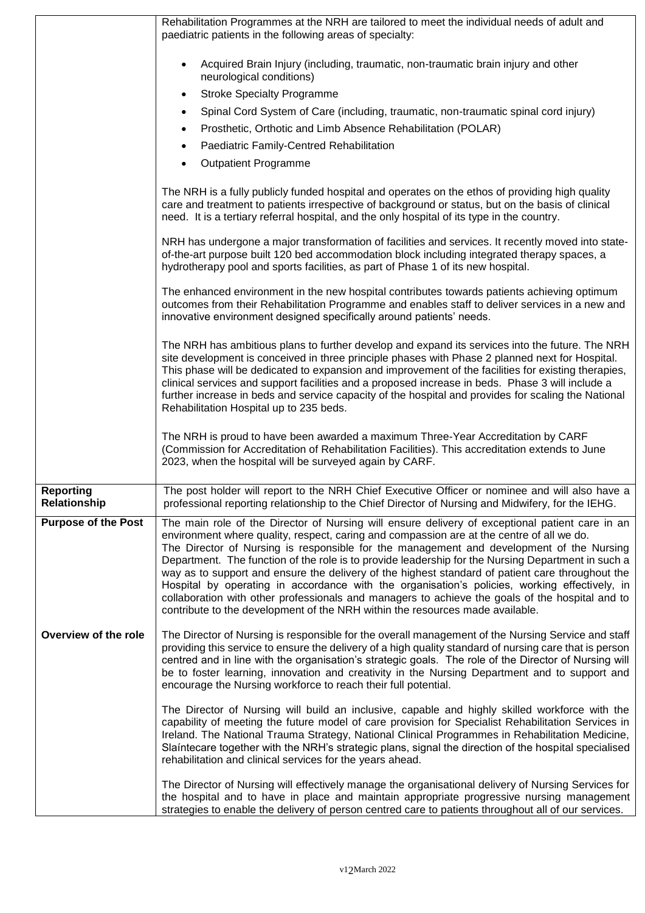|                                  | Rehabilitation Programmes at the NRH are tailored to meet the individual needs of adult and<br>paediatric patients in the following areas of specialty:                                                                                                                                                                                                                                                                                                                                                                                                                                                                                                                                                                                                                                 |
|----------------------------------|-----------------------------------------------------------------------------------------------------------------------------------------------------------------------------------------------------------------------------------------------------------------------------------------------------------------------------------------------------------------------------------------------------------------------------------------------------------------------------------------------------------------------------------------------------------------------------------------------------------------------------------------------------------------------------------------------------------------------------------------------------------------------------------------|
|                                  | Acquired Brain Injury (including, traumatic, non-traumatic brain injury and other<br>neurological conditions)                                                                                                                                                                                                                                                                                                                                                                                                                                                                                                                                                                                                                                                                           |
|                                  | <b>Stroke Specialty Programme</b><br>$\bullet$                                                                                                                                                                                                                                                                                                                                                                                                                                                                                                                                                                                                                                                                                                                                          |
|                                  | Spinal Cord System of Care (including, traumatic, non-traumatic spinal cord injury)                                                                                                                                                                                                                                                                                                                                                                                                                                                                                                                                                                                                                                                                                                     |
|                                  | Prosthetic, Orthotic and Limb Absence Rehabilitation (POLAR)                                                                                                                                                                                                                                                                                                                                                                                                                                                                                                                                                                                                                                                                                                                            |
|                                  | Paediatric Family-Centred Rehabilitation<br>$\bullet$                                                                                                                                                                                                                                                                                                                                                                                                                                                                                                                                                                                                                                                                                                                                   |
|                                  | <b>Outpatient Programme</b>                                                                                                                                                                                                                                                                                                                                                                                                                                                                                                                                                                                                                                                                                                                                                             |
|                                  | The NRH is a fully publicly funded hospital and operates on the ethos of providing high quality<br>care and treatment to patients irrespective of background or status, but on the basis of clinical<br>need. It is a tertiary referral hospital, and the only hospital of its type in the country.                                                                                                                                                                                                                                                                                                                                                                                                                                                                                     |
|                                  | NRH has undergone a major transformation of facilities and services. It recently moved into state-<br>of-the-art purpose built 120 bed accommodation block including integrated therapy spaces, a<br>hydrotherapy pool and sports facilities, as part of Phase 1 of its new hospital.                                                                                                                                                                                                                                                                                                                                                                                                                                                                                                   |
|                                  | The enhanced environment in the new hospital contributes towards patients achieving optimum<br>outcomes from their Rehabilitation Programme and enables staff to deliver services in a new and<br>innovative environment designed specifically around patients' needs.                                                                                                                                                                                                                                                                                                                                                                                                                                                                                                                  |
|                                  | The NRH has ambitious plans to further develop and expand its services into the future. The NRH<br>site development is conceived in three principle phases with Phase 2 planned next for Hospital.<br>This phase will be dedicated to expansion and improvement of the facilities for existing therapies,<br>clinical services and support facilities and a proposed increase in beds. Phase 3 will include a<br>further increase in beds and service capacity of the hospital and provides for scaling the National<br>Rehabilitation Hospital up to 235 beds.                                                                                                                                                                                                                         |
|                                  | The NRH is proud to have been awarded a maximum Three-Year Accreditation by CARF<br>(Commission for Accreditation of Rehabilitation Facilities). This accreditation extends to June<br>2023, when the hospital will be surveyed again by CARF.                                                                                                                                                                                                                                                                                                                                                                                                                                                                                                                                          |
| <b>Reporting</b><br>Relationship | The post holder will report to the NRH Chief Executive Officer or nominee and will also have a<br>professional reporting relationship to the Chief Director of Nursing and Midwifery, for the IEHG.                                                                                                                                                                                                                                                                                                                                                                                                                                                                                                                                                                                     |
| <b>Purpose of the Post</b>       | The main role of the Director of Nursing will ensure delivery of exceptional patient care in an<br>environment where quality, respect, caring and compassion are at the centre of all we do.<br>The Director of Nursing is responsible for the management and development of the Nursing<br>Department. The function of the role is to provide leadership for the Nursing Department in such a<br>way as to support and ensure the delivery of the highest standard of patient care throughout the<br>Hospital by operating in accordance with the organisation's policies, working effectively, in<br>collaboration with other professionals and managers to achieve the goals of the hospital and to<br>contribute to the development of the NRH within the resources made available. |
| Overview of the role             | The Director of Nursing is responsible for the overall management of the Nursing Service and staff<br>providing this service to ensure the delivery of a high quality standard of nursing care that is person<br>centred and in line with the organisation's strategic goals. The role of the Director of Nursing will<br>be to foster learning, innovation and creativity in the Nursing Department and to support and<br>encourage the Nursing workforce to reach their full potential.                                                                                                                                                                                                                                                                                               |
|                                  | The Director of Nursing will build an inclusive, capable and highly skilled workforce with the<br>capability of meeting the future model of care provision for Specialist Rehabilitation Services in<br>Ireland. The National Trauma Strategy, National Clinical Programmes in Rehabilitation Medicine,<br>Slaintecare together with the NRH's strategic plans, signal the direction of the hospital specialised<br>rehabilitation and clinical services for the years ahead.                                                                                                                                                                                                                                                                                                           |
|                                  | The Director of Nursing will effectively manage the organisational delivery of Nursing Services for<br>the hospital and to have in place and maintain appropriate progressive nursing management<br>strategies to enable the delivery of person centred care to patients throughout all of our services.                                                                                                                                                                                                                                                                                                                                                                                                                                                                                |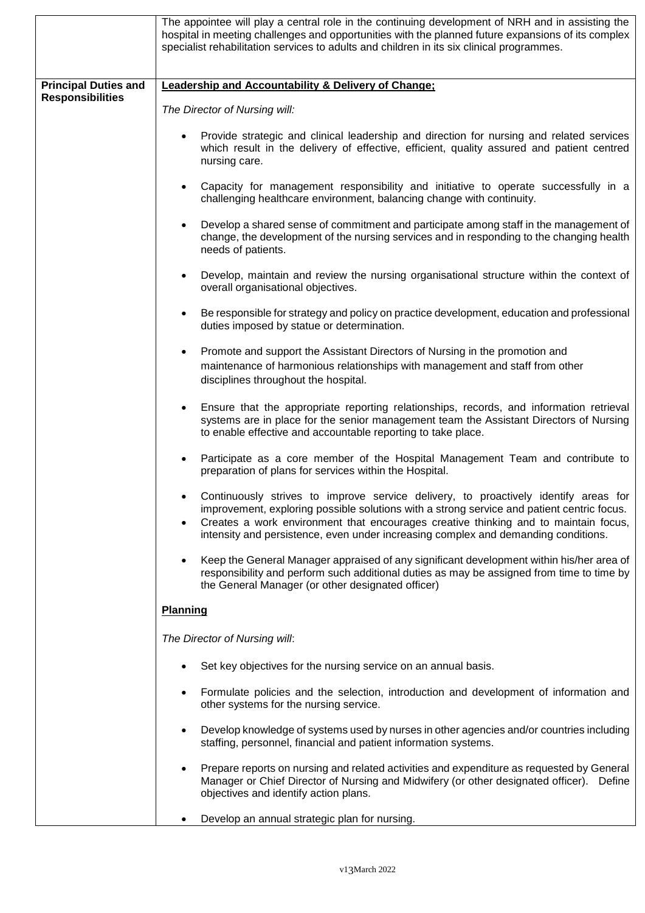|                             | The appointee will play a central role in the continuing development of NRH and in assisting the<br>hospital in meeting challenges and opportunities with the planned future expansions of its complex<br>specialist rehabilitation services to adults and children in its six clinical programmes.                                                                         |  |
|-----------------------------|-----------------------------------------------------------------------------------------------------------------------------------------------------------------------------------------------------------------------------------------------------------------------------------------------------------------------------------------------------------------------------|--|
| <b>Principal Duties and</b> | <b>Leadership and Accountability &amp; Delivery of Change:</b>                                                                                                                                                                                                                                                                                                              |  |
| <b>Responsibilities</b>     | The Director of Nursing will:                                                                                                                                                                                                                                                                                                                                               |  |
|                             | Provide strategic and clinical leadership and direction for nursing and related services<br>which result in the delivery of effective, efficient, quality assured and patient centred<br>nursing care.                                                                                                                                                                      |  |
|                             | Capacity for management responsibility and initiative to operate successfully in a<br>$\bullet$<br>challenging healthcare environment, balancing change with continuity.                                                                                                                                                                                                    |  |
|                             | Develop a shared sense of commitment and participate among staff in the management of<br>$\bullet$<br>change, the development of the nursing services and in responding to the changing health<br>needs of patients.                                                                                                                                                        |  |
|                             | Develop, maintain and review the nursing organisational structure within the context of<br>$\bullet$<br>overall organisational objectives.                                                                                                                                                                                                                                  |  |
|                             | Be responsible for strategy and policy on practice development, education and professional<br>$\bullet$<br>duties imposed by statue or determination.                                                                                                                                                                                                                       |  |
|                             | Promote and support the Assistant Directors of Nursing in the promotion and<br>$\bullet$<br>maintenance of harmonious relationships with management and staff from other<br>disciplines throughout the hospital.                                                                                                                                                            |  |
|                             | Ensure that the appropriate reporting relationships, records, and information retrieval<br>systems are in place for the senior management team the Assistant Directors of Nursing<br>to enable effective and accountable reporting to take place.                                                                                                                           |  |
|                             | Participate as a core member of the Hospital Management Team and contribute to<br>$\bullet$<br>preparation of plans for services within the Hospital.                                                                                                                                                                                                                       |  |
|                             | Continuously strives to improve service delivery, to proactively identify areas for<br>improvement, exploring possible solutions with a strong service and patient centric focus.<br>Creates a work environment that encourages creative thinking and to maintain focus,<br>$\bullet$<br>intensity and persistence, even under increasing complex and demanding conditions. |  |
|                             | Keep the General Manager appraised of any significant development within his/her area of<br>$\bullet$<br>responsibility and perform such additional duties as may be assigned from time to time by<br>the General Manager (or other designated officer)                                                                                                                     |  |
|                             | <b>Planning</b>                                                                                                                                                                                                                                                                                                                                                             |  |
|                             | The Director of Nursing will:                                                                                                                                                                                                                                                                                                                                               |  |
|                             | Set key objectives for the nursing service on an annual basis.                                                                                                                                                                                                                                                                                                              |  |
|                             | Formulate policies and the selection, introduction and development of information and<br>$\bullet$<br>other systems for the nursing service.                                                                                                                                                                                                                                |  |
|                             | Develop knowledge of systems used by nurses in other agencies and/or countries including<br>$\bullet$<br>staffing, personnel, financial and patient information systems.                                                                                                                                                                                                    |  |
|                             | Prepare reports on nursing and related activities and expenditure as requested by General<br>$\bullet$<br>Manager or Chief Director of Nursing and Midwifery (or other designated officer). Define<br>objectives and identify action plans.                                                                                                                                 |  |
|                             | Develop an annual strategic plan for nursing.<br>$\bullet$                                                                                                                                                                                                                                                                                                                  |  |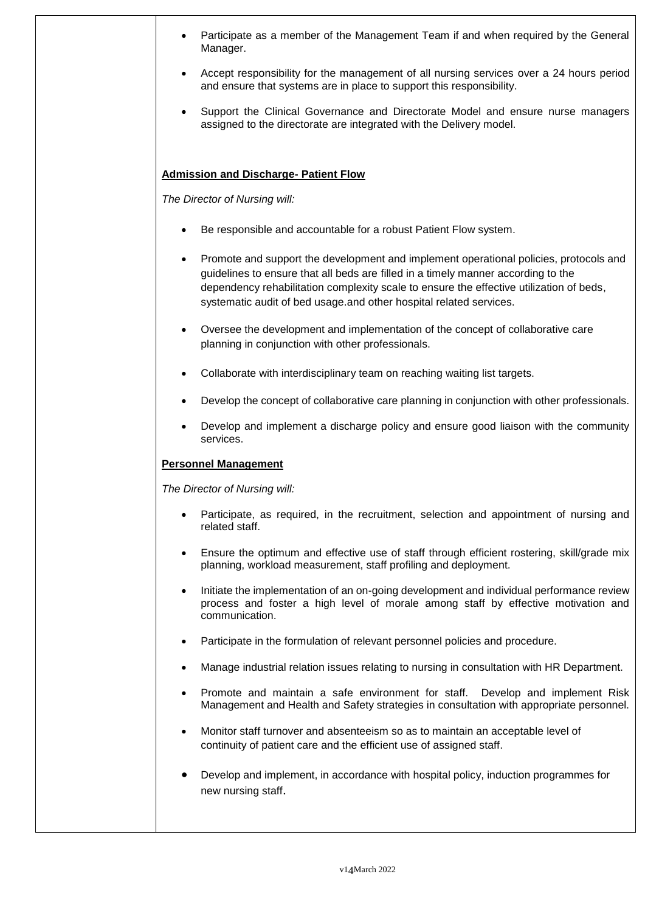|           | Participate as a member of the Management Team if and when required by the General<br>Manager.                                                                                                                                                                                                                                              |
|-----------|---------------------------------------------------------------------------------------------------------------------------------------------------------------------------------------------------------------------------------------------------------------------------------------------------------------------------------------------|
|           | Accept responsibility for the management of all nursing services over a 24 hours period<br>and ensure that systems are in place to support this responsibility.                                                                                                                                                                             |
|           | Support the Clinical Governance and Directorate Model and ensure nurse managers<br>assigned to the directorate are integrated with the Delivery model.                                                                                                                                                                                      |
|           | <b>Admission and Discharge- Patient Flow</b>                                                                                                                                                                                                                                                                                                |
|           | The Director of Nursing will:                                                                                                                                                                                                                                                                                                               |
|           | Be responsible and accountable for a robust Patient Flow system.                                                                                                                                                                                                                                                                            |
|           | Promote and support the development and implement operational policies, protocols and<br>guidelines to ensure that all beds are filled in a timely manner according to the<br>dependency rehabilitation complexity scale to ensure the effective utilization of beds,<br>systematic audit of bed usage.and other hospital related services. |
| $\bullet$ | Oversee the development and implementation of the concept of collaborative care<br>planning in conjunction with other professionals.                                                                                                                                                                                                        |
|           | Collaborate with interdisciplinary team on reaching waiting list targets.                                                                                                                                                                                                                                                                   |
|           | Develop the concept of collaborative care planning in conjunction with other professionals.                                                                                                                                                                                                                                                 |
|           | Develop and implement a discharge policy and ensure good liaison with the community<br>services.                                                                                                                                                                                                                                            |
|           | <b>Personnel Management</b>                                                                                                                                                                                                                                                                                                                 |
|           | The Director of Nursing will:                                                                                                                                                                                                                                                                                                               |
|           | Participate, as required, in the recruitment, selection and appointment of nursing and<br>related staff.                                                                                                                                                                                                                                    |
|           | Ensure the optimum and effective use of staff through efficient rostering, skill/grade mix<br>planning, workload measurement, staff profiling and deployment.                                                                                                                                                                               |
|           | Initiate the implementation of an on-going development and individual performance review<br>process and foster a high level of morale among staff by effective motivation and<br>communication.                                                                                                                                             |
|           | Participate in the formulation of relevant personnel policies and procedure.                                                                                                                                                                                                                                                                |
|           | Manage industrial relation issues relating to nursing in consultation with HR Department.                                                                                                                                                                                                                                                   |
|           | Promote and maintain a safe environment for staff.<br>Develop and implement Risk<br>Management and Health and Safety strategies in consultation with appropriate personnel.                                                                                                                                                                 |
|           | Monitor staff turnover and absenteeism so as to maintain an acceptable level of<br>continuity of patient care and the efficient use of assigned staff.                                                                                                                                                                                      |
|           | Develop and implement, in accordance with hospital policy, induction programmes for<br>new nursing staff.                                                                                                                                                                                                                                   |
|           |                                                                                                                                                                                                                                                                                                                                             |

Π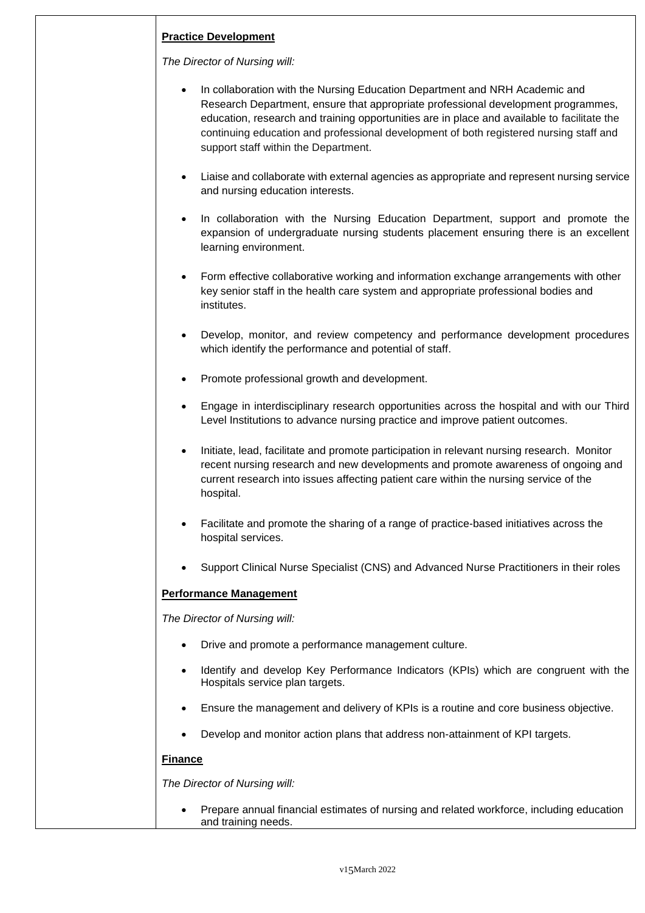# **Practice Development**

*The Director of Nursing will:*

- In collaboration with the Nursing Education Department and NRH Academic and Research Department, ensure that appropriate professional development programmes, education, research and training opportunities are in place and available to facilitate the continuing education and professional development of both registered nursing staff and support staff within the Department.
- Liaise and collaborate with external agencies as appropriate and represent nursing service and nursing education interests.
- In collaboration with the Nursing Education Department, support and promote the expansion of undergraduate nursing students placement ensuring there is an excellent learning environment.
- Form effective collaborative working and information exchange arrangements with other key senior staff in the health care system and appropriate professional bodies and institutes.
- Develop, monitor, and review competency and performance development procedures which identify the performance and potential of staff.
- Promote professional growth and development.
- Engage in interdisciplinary research opportunities across the hospital and with our Third Level Institutions to advance nursing practice and improve patient outcomes.
- Initiate, lead, facilitate and promote participation in relevant nursing research. Monitor recent nursing research and new developments and promote awareness of ongoing and current research into issues affecting patient care within the nursing service of the hospital.
- Facilitate and promote the sharing of a range of practice-based initiatives across the hospital services.
- Support Clinical Nurse Specialist (CNS) and Advanced Nurse Practitioners in their roles

## **Performance Management**

*The Director of Nursing will:*

- Drive and promote a performance management culture.
- Identify and develop Key Performance Indicators (KPIs) which are congruent with the Hospitals service plan targets.
- Ensure the management and delivery of KPIs is a routine and core business objective.
- Develop and monitor action plans that address non-attainment of KPI targets.

#### **Finance**

*The Director of Nursing will:*

 Prepare annual financial estimates of nursing and related workforce, including education and training needs.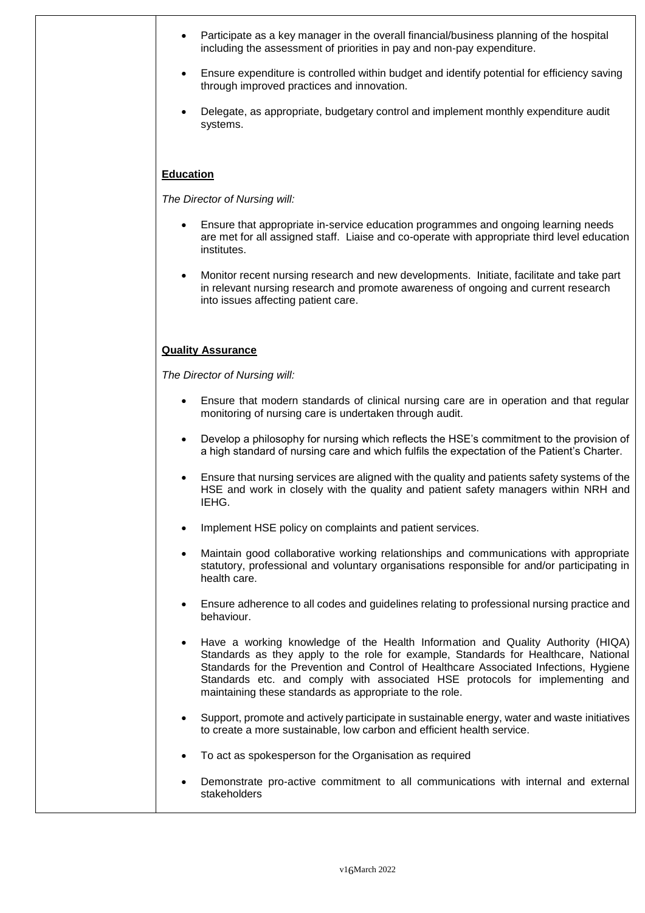| including the assessment of priorities in pay and non-pay expenditure.                                                                                                                                                                                                                                                                                                                                     |
|------------------------------------------------------------------------------------------------------------------------------------------------------------------------------------------------------------------------------------------------------------------------------------------------------------------------------------------------------------------------------------------------------------|
| Ensure expenditure is controlled within budget and identify potential for efficiency saving<br>$\bullet$<br>through improved practices and innovation.                                                                                                                                                                                                                                                     |
| Delegate, as appropriate, budgetary control and implement monthly expenditure audit<br>systems.                                                                                                                                                                                                                                                                                                            |
| <b>Education</b>                                                                                                                                                                                                                                                                                                                                                                                           |
| The Director of Nursing will:                                                                                                                                                                                                                                                                                                                                                                              |
| Ensure that appropriate in-service education programmes and ongoing learning needs<br>are met for all assigned staff. Liaise and co-operate with appropriate third level education<br>institutes.                                                                                                                                                                                                          |
| Monitor recent nursing research and new developments. Initiate, facilitate and take part<br>in relevant nursing research and promote awareness of ongoing and current research<br>into issues affecting patient care.                                                                                                                                                                                      |
| <b>Quality Assurance</b>                                                                                                                                                                                                                                                                                                                                                                                   |
| The Director of Nursing will:                                                                                                                                                                                                                                                                                                                                                                              |
| Ensure that modern standards of clinical nursing care are in operation and that regular<br>monitoring of nursing care is undertaken through audit.                                                                                                                                                                                                                                                         |
| Develop a philosophy for nursing which reflects the HSE's commitment to the provision of<br>a high standard of nursing care and which fulfils the expectation of the Patient's Charter.                                                                                                                                                                                                                    |
| Ensure that nursing services are aligned with the quality and patients safety systems of the<br>HSE and work in closely with the quality and patient safety managers within NRH and<br>IEHG.                                                                                                                                                                                                               |
| Implement HSE policy on complaints and patient services                                                                                                                                                                                                                                                                                                                                                    |
| Maintain good collaborative working relationships and communications with appropriate<br>statutory, professional and voluntary organisations responsible for and/or participating in<br>health care.                                                                                                                                                                                                       |
| Ensure adherence to all codes and guidelines relating to professional nursing practice and<br>behaviour.                                                                                                                                                                                                                                                                                                   |
| Have a working knowledge of the Health Information and Quality Authority (HIQA)<br>Standards as they apply to the role for example, Standards for Healthcare, National<br>Standards for the Prevention and Control of Healthcare Associated Infections, Hygiene<br>Standards etc. and comply with associated HSE protocols for implementing and<br>maintaining these standards as appropriate to the role. |
| Support, promote and actively participate in sustainable energy, water and waste initiatives<br>to create a more sustainable, low carbon and efficient health service.                                                                                                                                                                                                                                     |
| To act as spokesperson for the Organisation as required                                                                                                                                                                                                                                                                                                                                                    |
| Demonstrate pro-active commitment to all communications with internal and external<br>stakeholders                                                                                                                                                                                                                                                                                                         |
|                                                                                                                                                                                                                                                                                                                                                                                                            |

Participate as a key manager in the overall financial/business planning of the hospital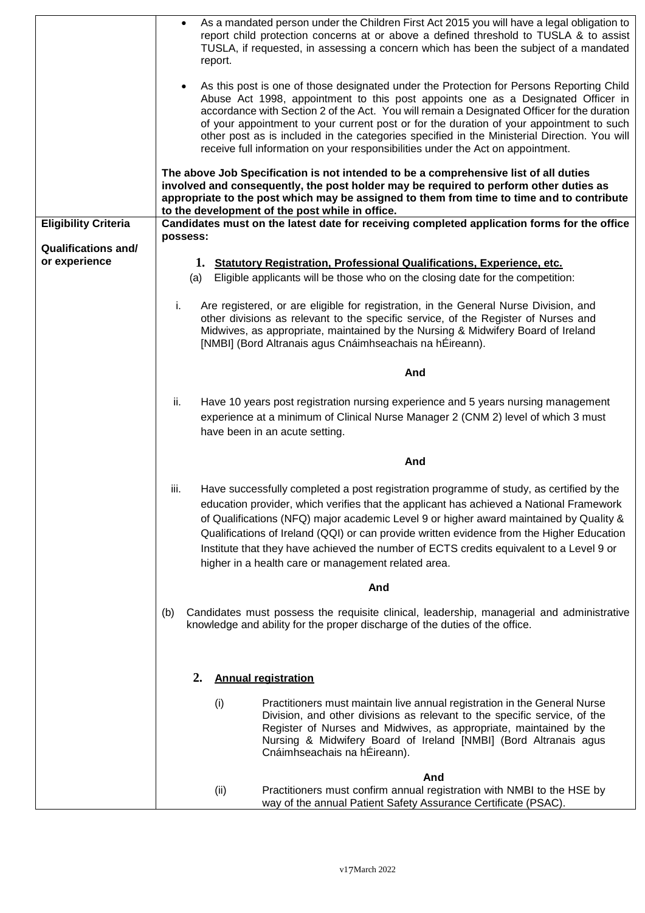|                             | As a mandated person under the Children First Act 2015 you will have a legal obligation to<br>$\bullet$<br>report child protection concerns at or above a defined threshold to TUSLA & to assist<br>TUSLA, if requested, in assessing a concern which has been the subject of a mandated<br>report.                                                                                                                                                                                                                                                                     |
|-----------------------------|-------------------------------------------------------------------------------------------------------------------------------------------------------------------------------------------------------------------------------------------------------------------------------------------------------------------------------------------------------------------------------------------------------------------------------------------------------------------------------------------------------------------------------------------------------------------------|
|                             | As this post is one of those designated under the Protection for Persons Reporting Child<br>$\bullet$<br>Abuse Act 1998, appointment to this post appoints one as a Designated Officer in<br>accordance with Section 2 of the Act. You will remain a Designated Officer for the duration<br>of your appointment to your current post or for the duration of your appointment to such<br>other post as is included in the categories specified in the Ministerial Direction. You will<br>receive full information on your responsibilities under the Act on appointment. |
|                             | The above Job Specification is not intended to be a comprehensive list of all duties<br>involved and consequently, the post holder may be required to perform other duties as<br>appropriate to the post which may be assigned to them from time to time and to contribute<br>to the development of the post while in office.                                                                                                                                                                                                                                           |
| <b>Eligibility Criteria</b> | Candidates must on the latest date for receiving completed application forms for the office<br>possess:                                                                                                                                                                                                                                                                                                                                                                                                                                                                 |
| <b>Qualifications and/</b>  |                                                                                                                                                                                                                                                                                                                                                                                                                                                                                                                                                                         |
| or experience               | 1. Statutory Registration, Professional Qualifications, Experience, etc.<br>Eligible applicants will be those who on the closing date for the competition:<br>(a)                                                                                                                                                                                                                                                                                                                                                                                                       |
|                             | Are registered, or are eligible for registration, in the General Nurse Division, and<br>i.<br>other divisions as relevant to the specific service, of the Register of Nurses and<br>Midwives, as appropriate, maintained by the Nursing & Midwifery Board of Ireland<br>[NMBI] (Bord Altranais agus Cnáimhseachais na hÉireann).                                                                                                                                                                                                                                        |
|                             | And                                                                                                                                                                                                                                                                                                                                                                                                                                                                                                                                                                     |
|                             | ii.<br>Have 10 years post registration nursing experience and 5 years nursing management<br>experience at a minimum of Clinical Nurse Manager 2 (CNM 2) level of which 3 must<br>have been in an acute setting.                                                                                                                                                                                                                                                                                                                                                         |
| And                         |                                                                                                                                                                                                                                                                                                                                                                                                                                                                                                                                                                         |
|                             | iii.<br>Have successfully completed a post registration programme of study, as certified by the<br>education provider, which verifies that the applicant has achieved a National Framework<br>of Qualifications (NFQ) major academic Level 9 or higher award maintained by Quality &<br>Qualifications of Ireland (QQI) or can provide written evidence from the Higher Education<br>Institute that they have achieved the number of ECTS credits equivalent to a Level 9 or<br>higher in a health care or management related area.                                     |
| And                         |                                                                                                                                                                                                                                                                                                                                                                                                                                                                                                                                                                         |
|                             | Candidates must possess the requisite clinical, leadership, managerial and administrative<br>(b)<br>knowledge and ability for the proper discharge of the duties of the office.                                                                                                                                                                                                                                                                                                                                                                                         |
|                             | <b>Annual registration</b><br>2.                                                                                                                                                                                                                                                                                                                                                                                                                                                                                                                                        |
|                             | (i)<br>Practitioners must maintain live annual registration in the General Nurse<br>Division, and other divisions as relevant to the specific service, of the<br>Register of Nurses and Midwives, as appropriate, maintained by the<br>Nursing & Midwifery Board of Ireland [NMBI] (Bord Altranais agus<br>Cnáimhseachais na hÉireann).                                                                                                                                                                                                                                 |
|                             | And<br>Practitioners must confirm annual registration with NMBI to the HSE by<br>(ii)<br>way of the annual Patient Safety Assurance Certificate (PSAC).                                                                                                                                                                                                                                                                                                                                                                                                                 |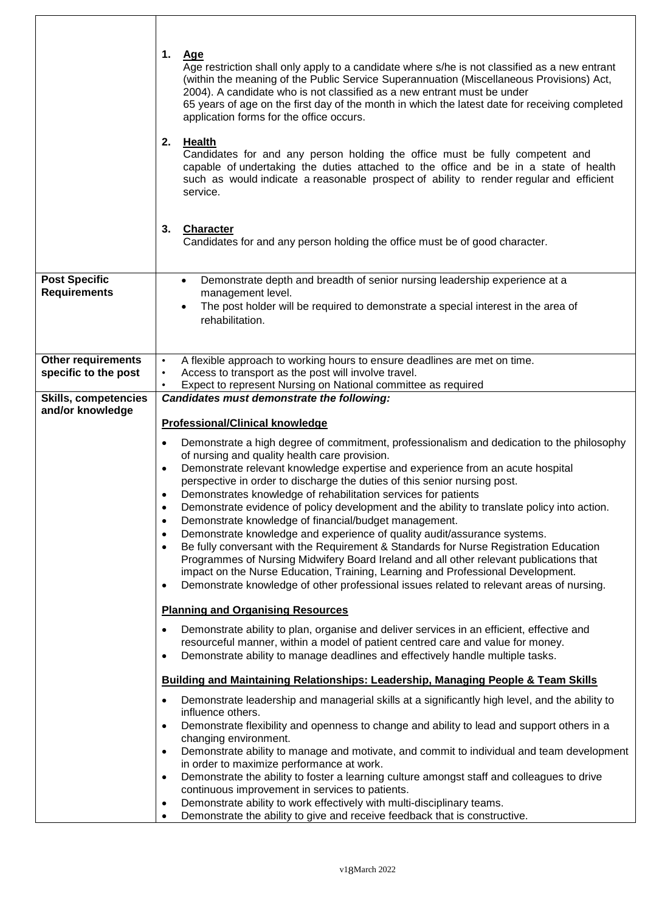|                                                 | 1.<br>Age<br>Age restriction shall only apply to a candidate where s/he is not classified as a new entrant<br>(within the meaning of the Public Service Superannuation (Miscellaneous Provisions) Act,<br>2004). A candidate who is not classified as a new entrant must be under<br>65 years of age on the first day of the month in which the latest date for receiving completed<br>application forms for the office occurs. |  |
|-------------------------------------------------|---------------------------------------------------------------------------------------------------------------------------------------------------------------------------------------------------------------------------------------------------------------------------------------------------------------------------------------------------------------------------------------------------------------------------------|--|
|                                                 | 2.<br><b>Health</b><br>Candidates for and any person holding the office must be fully competent and<br>capable of undertaking the duties attached to the office and be in a state of health<br>such as would indicate a reasonable prospect of ability to render regular and efficient<br>service.                                                                                                                              |  |
|                                                 | 3.<br><b>Character</b><br>Candidates for and any person holding the office must be of good character.                                                                                                                                                                                                                                                                                                                           |  |
| <b>Post Specific</b>                            | Demonstrate depth and breadth of senior nursing leadership experience at a<br>$\bullet$                                                                                                                                                                                                                                                                                                                                         |  |
| <b>Requirements</b>                             | management level.<br>The post holder will be required to demonstrate a special interest in the area of                                                                                                                                                                                                                                                                                                                          |  |
|                                                 | rehabilitation.                                                                                                                                                                                                                                                                                                                                                                                                                 |  |
|                                                 |                                                                                                                                                                                                                                                                                                                                                                                                                                 |  |
| <b>Other requirements</b>                       | A flexible approach to working hours to ensure deadlines are met on time.<br>$\bullet$                                                                                                                                                                                                                                                                                                                                          |  |
| specific to the post                            | Access to transport as the post will involve travel.<br>$\bullet$<br>Expect to represent Nursing on National committee as required<br>$\bullet$                                                                                                                                                                                                                                                                                 |  |
| <b>Skills, competencies</b><br>and/or knowledge | Candidates must demonstrate the following:                                                                                                                                                                                                                                                                                                                                                                                      |  |
|                                                 | <b>Professional/Clinical knowledge</b>                                                                                                                                                                                                                                                                                                                                                                                          |  |
|                                                 | Demonstrate a high degree of commitment, professionalism and dedication to the philosophy<br>٠                                                                                                                                                                                                                                                                                                                                  |  |
|                                                 | of nursing and quality health care provision.<br>Demonstrate relevant knowledge expertise and experience from an acute hospital<br>$\bullet$                                                                                                                                                                                                                                                                                    |  |
|                                                 | perspective in order to discharge the duties of this senior nursing post.                                                                                                                                                                                                                                                                                                                                                       |  |
|                                                 | Demonstrates knowledge of rehabilitation services for patients                                                                                                                                                                                                                                                                                                                                                                  |  |
|                                                 | Demonstrate evidence of policy development and the ability to translate policy into action.<br>$\bullet$<br>Demonstrate knowledge of financial/budget management.<br>$\bullet$                                                                                                                                                                                                                                                  |  |
|                                                 | Demonstrate knowledge and experience of quality audit/assurance systems.<br>$\bullet$                                                                                                                                                                                                                                                                                                                                           |  |
|                                                 | Be fully conversant with the Requirement & Standards for Nurse Registration Education<br>$\bullet$<br>Programmes of Nursing Midwifery Board Ireland and all other relevant publications that                                                                                                                                                                                                                                    |  |
|                                                 | impact on the Nurse Education, Training, Learning and Professional Development.                                                                                                                                                                                                                                                                                                                                                 |  |
|                                                 | Demonstrate knowledge of other professional issues related to relevant areas of nursing.<br>$\bullet$                                                                                                                                                                                                                                                                                                                           |  |
|                                                 | <b>Planning and Organising Resources</b>                                                                                                                                                                                                                                                                                                                                                                                        |  |
|                                                 | Demonstrate ability to plan, organise and deliver services in an efficient, effective and<br>$\bullet$                                                                                                                                                                                                                                                                                                                          |  |
|                                                 | resourceful manner, within a model of patient centred care and value for money.<br>Demonstrate ability to manage deadlines and effectively handle multiple tasks.<br>$\bullet$                                                                                                                                                                                                                                                  |  |
|                                                 |                                                                                                                                                                                                                                                                                                                                                                                                                                 |  |
|                                                 | <b>Building and Maintaining Relationships: Leadership, Managing People &amp; Team Skills</b>                                                                                                                                                                                                                                                                                                                                    |  |
|                                                 | Demonstrate leadership and managerial skills at a significantly high level, and the ability to<br>$\bullet$<br>influence others.                                                                                                                                                                                                                                                                                                |  |
|                                                 | Demonstrate flexibility and openness to change and ability to lead and support others in a<br>$\bullet$<br>changing environment.                                                                                                                                                                                                                                                                                                |  |
|                                                 | Demonstrate ability to manage and motivate, and commit to individual and team development<br>$\bullet$                                                                                                                                                                                                                                                                                                                          |  |
|                                                 | in order to maximize performance at work.<br>Demonstrate the ability to foster a learning culture amongst staff and colleagues to drive<br>$\bullet$                                                                                                                                                                                                                                                                            |  |
|                                                 | continuous improvement in services to patients.                                                                                                                                                                                                                                                                                                                                                                                 |  |
|                                                 |                                                                                                                                                                                                                                                                                                                                                                                                                                 |  |
|                                                 | Demonstrate ability to work effectively with multi-disciplinary teams.<br>$\bullet$<br>Demonstrate the ability to give and receive feedback that is constructive.                                                                                                                                                                                                                                                               |  |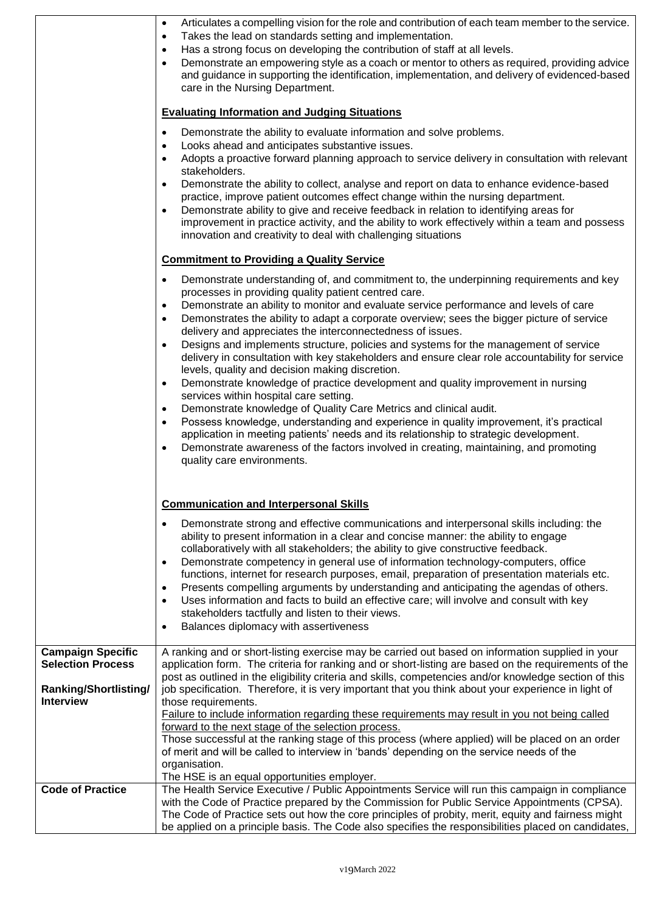| Articulates a compelling vision for the role and contribution of each team member to the service.<br>$\bullet$<br>Takes the lead on standards setting and implementation.<br>$\bullet$<br>Has a strong focus on developing the contribution of staff at all levels.<br>$\bullet$<br>Demonstrate an empowering style as a coach or mentor to others as required, providing advice<br>$\bullet$<br>and guidance in supporting the identification, implementation, and delivery of evidenced-based<br>care in the Nursing Department.<br><b>Evaluating Information and Judging Situations</b><br>Demonstrate the ability to evaluate information and solve problems.<br>$\bullet$<br>Looks ahead and anticipates substantive issues.<br>٠<br>Adopts a proactive forward planning approach to service delivery in consultation with relevant<br>$\bullet$<br>stakeholders.<br>Demonstrate the ability to collect, analyse and report on data to enhance evidence-based<br>$\bullet$<br>practice, improve patient outcomes effect change within the nursing department.<br>Demonstrate ability to give and receive feedback in relation to identifying areas for<br>$\bullet$<br>improvement in practice activity, and the ability to work effectively within a team and possess<br>innovation and creativity to deal with challenging situations<br><b>Commitment to Providing a Quality Service</b><br>Demonstrate understanding of, and commitment to, the underpinning requirements and key<br>$\bullet$<br>processes in providing quality patient centred care.<br>Demonstrate an ability to monitor and evaluate service performance and levels of care<br>$\bullet$<br>Demonstrates the ability to adapt a corporate overview; sees the bigger picture of service<br>$\bullet$<br>delivery and appreciates the interconnectedness of issues. |                                                                                                                                                                                                                                                                                                                                                                                                                                                                                                                                                                                                                                                                                                                                                                                                                                                |
|------------------------------------------------------------------------------------------------------------------------------------------------------------------------------------------------------------------------------------------------------------------------------------------------------------------------------------------------------------------------------------------------------------------------------------------------------------------------------------------------------------------------------------------------------------------------------------------------------------------------------------------------------------------------------------------------------------------------------------------------------------------------------------------------------------------------------------------------------------------------------------------------------------------------------------------------------------------------------------------------------------------------------------------------------------------------------------------------------------------------------------------------------------------------------------------------------------------------------------------------------------------------------------------------------------------------------------------------------------------------------------------------------------------------------------------------------------------------------------------------------------------------------------------------------------------------------------------------------------------------------------------------------------------------------------------------------------------------------------------------------------------------------------------------------------------------------------------------|------------------------------------------------------------------------------------------------------------------------------------------------------------------------------------------------------------------------------------------------------------------------------------------------------------------------------------------------------------------------------------------------------------------------------------------------------------------------------------------------------------------------------------------------------------------------------------------------------------------------------------------------------------------------------------------------------------------------------------------------------------------------------------------------------------------------------------------------|
|                                                                                                                                                                                                                                                                                                                                                                                                                                                                                                                                                                                                                                                                                                                                                                                                                                                                                                                                                                                                                                                                                                                                                                                                                                                                                                                                                                                                                                                                                                                                                                                                                                                                                                                                                                                                                                                | Designs and implements structure, policies and systems for the management of service<br>$\bullet$<br>delivery in consultation with key stakeholders and ensure clear role accountability for service<br>levels, quality and decision making discretion.<br>Demonstrate knowledge of practice development and quality improvement in nursing<br>$\bullet$<br>services within hospital care setting.<br>Demonstrate knowledge of Quality Care Metrics and clinical audit.<br>$\bullet$<br>Possess knowledge, understanding and experience in quality improvement, it's practical<br>$\bullet$<br>application in meeting patients' needs and its relationship to strategic development.<br>Demonstrate awareness of the factors involved in creating, maintaining, and promoting<br>$\bullet$<br>quality care environments.                       |
|                                                                                                                                                                                                                                                                                                                                                                                                                                                                                                                                                                                                                                                                                                                                                                                                                                                                                                                                                                                                                                                                                                                                                                                                                                                                                                                                                                                                                                                                                                                                                                                                                                                                                                                                                                                                                                                | <b>Communication and Interpersonal Skills</b><br>Demonstrate strong and effective communications and interpersonal skills including: the<br>٠<br>ability to present information in a clear and concise manner: the ability to engage<br>collaboratively with all stakeholders; the ability to give constructive feedback.<br>Demonstrate competency in general use of information technology-computers, office<br>$\bullet$<br>functions, internet for research purposes, email, preparation of presentation materials etc.<br>Presents compelling arguments by understanding and anticipating the agendas of others.<br>$\bullet$<br>Uses information and facts to build an effective care; will involve and consult with key<br>$\bullet$<br>stakeholders tactfully and listen to their views.<br>Balances diplomacy with assertiveness<br>٠ |
| <b>Campaign Specific</b><br><b>Selection Process</b>                                                                                                                                                                                                                                                                                                                                                                                                                                                                                                                                                                                                                                                                                                                                                                                                                                                                                                                                                                                                                                                                                                                                                                                                                                                                                                                                                                                                                                                                                                                                                                                                                                                                                                                                                                                           | A ranking and or short-listing exercise may be carried out based on information supplied in your<br>application form. The criteria for ranking and or short-listing are based on the requirements of the<br>post as outlined in the eligibility criteria and skills, competencies and/or knowledge section of this                                                                                                                                                                                                                                                                                                                                                                                                                                                                                                                             |
| <b>Ranking/Shortlisting/</b><br><b>Interview</b>                                                                                                                                                                                                                                                                                                                                                                                                                                                                                                                                                                                                                                                                                                                                                                                                                                                                                                                                                                                                                                                                                                                                                                                                                                                                                                                                                                                                                                                                                                                                                                                                                                                                                                                                                                                               | job specification. Therefore, it is very important that you think about your experience in light of<br>those requirements.<br>Failure to include information regarding these requirements may result in you not being called<br>forward to the next stage of the selection process.<br>Those successful at the ranking stage of this process (where applied) will be placed on an order<br>of merit and will be called to interview in 'bands' depending on the service needs of the<br>organisation.<br>The HSE is an equal opportunities employer.                                                                                                                                                                                                                                                                                           |
| <b>Code of Practice</b>                                                                                                                                                                                                                                                                                                                                                                                                                                                                                                                                                                                                                                                                                                                                                                                                                                                                                                                                                                                                                                                                                                                                                                                                                                                                                                                                                                                                                                                                                                                                                                                                                                                                                                                                                                                                                        | The Health Service Executive / Public Appointments Service will run this campaign in compliance<br>with the Code of Practice prepared by the Commission for Public Service Appointments (CPSA).<br>The Code of Practice sets out how the core principles of probity, merit, equity and fairness might<br>be applied on a principle basis. The Code also specifies the responsibilities placed on candidates,                                                                                                                                                                                                                                                                                                                                                                                                                                   |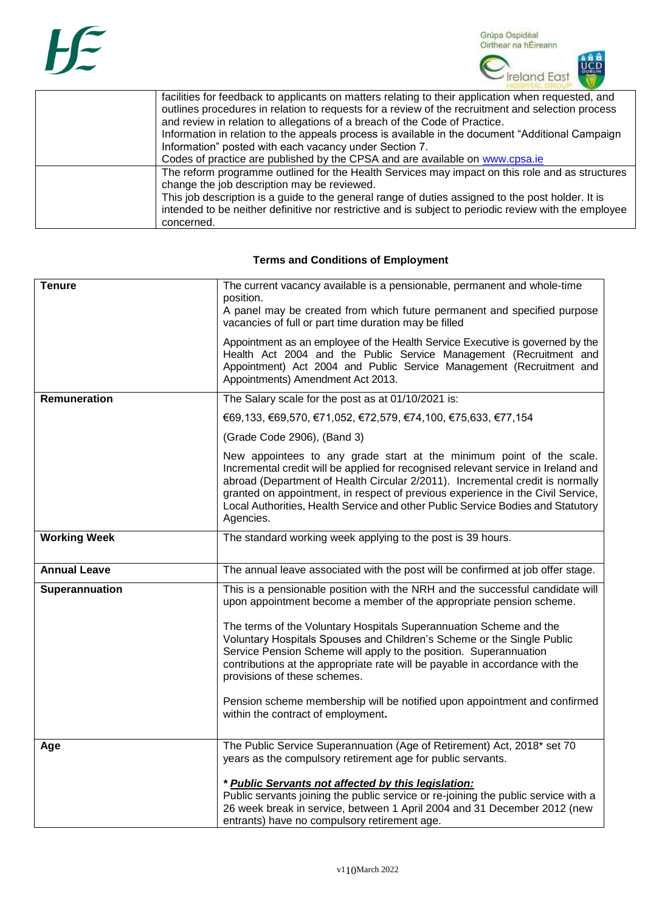

| facilities for feedback to applicants on matters relating to their application when requested, and<br>outlines procedures in relation to requests for a review of the recruitment and selection process<br>and review in relation to allegations of a breach of the Code of Practice.<br>Information in relation to the appeals process is available in the document "Additional Campaign<br>Information" posted with each vacancy under Section 7. |
|-----------------------------------------------------------------------------------------------------------------------------------------------------------------------------------------------------------------------------------------------------------------------------------------------------------------------------------------------------------------------------------------------------------------------------------------------------|
| Codes of practice are published by the CPSA and are available on www.cpsa.ie                                                                                                                                                                                                                                                                                                                                                                        |
| The reform programme outlined for the Health Services may impact on this role and as structures<br>change the job description may be reviewed.                                                                                                                                                                                                                                                                                                      |
| This job description is a guide to the general range of duties assigned to the post holder. It is                                                                                                                                                                                                                                                                                                                                                   |
| intended to be neither definitive nor restrictive and is subject to periodic review with the employee                                                                                                                                                                                                                                                                                                                                               |
| concerned.                                                                                                                                                                                                                                                                                                                                                                                                                                          |

## **Terms and Conditions of Employment**

| <b>Tenure</b>       | The current vacancy available is a pensionable, permanent and whole-time<br>position.<br>A panel may be created from which future permanent and specified purpose<br>vacancies of full or part time duration may be filled                                                                                                                                                                                                                                                                                                                                                                                   |
|---------------------|--------------------------------------------------------------------------------------------------------------------------------------------------------------------------------------------------------------------------------------------------------------------------------------------------------------------------------------------------------------------------------------------------------------------------------------------------------------------------------------------------------------------------------------------------------------------------------------------------------------|
|                     | Appointment as an employee of the Health Service Executive is governed by the<br>Health Act 2004 and the Public Service Management (Recruitment and<br>Appointment) Act 2004 and Public Service Management (Recruitment and<br>Appointments) Amendment Act 2013.                                                                                                                                                                                                                                                                                                                                             |
| <b>Remuneration</b> | The Salary scale for the post as at 01/10/2021 is:                                                                                                                                                                                                                                                                                                                                                                                                                                                                                                                                                           |
|                     | €69,133, €69,570, €71,052, €72,579, €74,100, €75,633, €77,154                                                                                                                                                                                                                                                                                                                                                                                                                                                                                                                                                |
|                     | (Grade Code 2906), (Band 3)                                                                                                                                                                                                                                                                                                                                                                                                                                                                                                                                                                                  |
|                     | New appointees to any grade start at the minimum point of the scale.<br>Incremental credit will be applied for recognised relevant service in Ireland and<br>abroad (Department of Health Circular 2/2011). Incremental credit is normally<br>granted on appointment, in respect of previous experience in the Civil Service,<br>Local Authorities, Health Service and other Public Service Bodies and Statutory<br>Agencies.                                                                                                                                                                                |
| <b>Working Week</b> | The standard working week applying to the post is 39 hours.                                                                                                                                                                                                                                                                                                                                                                                                                                                                                                                                                  |
| <b>Annual Leave</b> | The annual leave associated with the post will be confirmed at job offer stage.                                                                                                                                                                                                                                                                                                                                                                                                                                                                                                                              |
| Superannuation      | This is a pensionable position with the NRH and the successful candidate will<br>upon appointment become a member of the appropriate pension scheme.<br>The terms of the Voluntary Hospitals Superannuation Scheme and the<br>Voluntary Hospitals Spouses and Children's Scheme or the Single Public<br>Service Pension Scheme will apply to the position. Superannuation<br>contributions at the appropriate rate will be payable in accordance with the<br>provisions of these schemes.<br>Pension scheme membership will be notified upon appointment and confirmed<br>within the contract of employment. |
| Age                 | The Public Service Superannuation (Age of Retirement) Act, 2018* set 70<br>years as the compulsory retirement age for public servants.<br>* Public Servants not affected by this legislation:<br>Public servants joining the public service or re-joining the public service with a<br>26 week break in service, between 1 April 2004 and 31 December 2012 (new<br>entrants) have no compulsory retirement age.                                                                                                                                                                                              |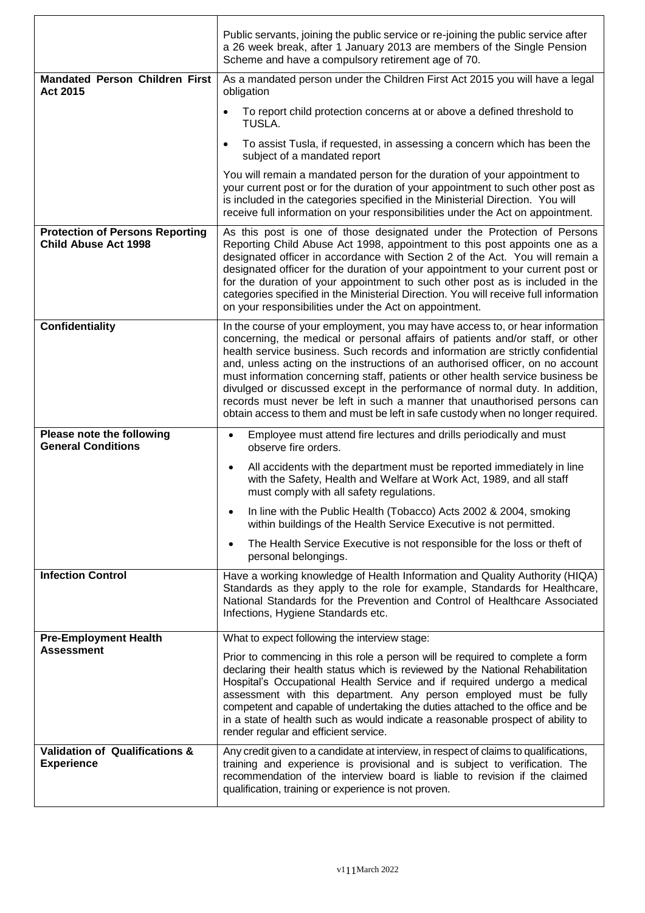|                                                                       | Public servants, joining the public service or re-joining the public service after<br>a 26 week break, after 1 January 2013 are members of the Single Pension<br>Scheme and have a compulsory retirement age of 70.                                                                                                                                                                                                                                                                                                                                                                                                                                                     |
|-----------------------------------------------------------------------|-------------------------------------------------------------------------------------------------------------------------------------------------------------------------------------------------------------------------------------------------------------------------------------------------------------------------------------------------------------------------------------------------------------------------------------------------------------------------------------------------------------------------------------------------------------------------------------------------------------------------------------------------------------------------|
| <b>Mandated Person Children First</b><br>Act 2015                     | As a mandated person under the Children First Act 2015 you will have a legal<br>obligation                                                                                                                                                                                                                                                                                                                                                                                                                                                                                                                                                                              |
|                                                                       | To report child protection concerns at or above a defined threshold to<br>TUSLA.                                                                                                                                                                                                                                                                                                                                                                                                                                                                                                                                                                                        |
|                                                                       | To assist Tusla, if requested, in assessing a concern which has been the<br>subject of a mandated report                                                                                                                                                                                                                                                                                                                                                                                                                                                                                                                                                                |
|                                                                       | You will remain a mandated person for the duration of your appointment to<br>your current post or for the duration of your appointment to such other post as<br>is included in the categories specified in the Ministerial Direction. You will<br>receive full information on your responsibilities under the Act on appointment.                                                                                                                                                                                                                                                                                                                                       |
| <b>Protection of Persons Reporting</b><br><b>Child Abuse Act 1998</b> | As this post is one of those designated under the Protection of Persons<br>Reporting Child Abuse Act 1998, appointment to this post appoints one as a<br>designated officer in accordance with Section 2 of the Act. You will remain a<br>designated officer for the duration of your appointment to your current post or<br>for the duration of your appointment to such other post as is included in the<br>categories specified in the Ministerial Direction. You will receive full information<br>on your responsibilities under the Act on appointment.                                                                                                            |
| Confidentiality                                                       | In the course of your employment, you may have access to, or hear information<br>concerning, the medical or personal affairs of patients and/or staff, or other<br>health service business. Such records and information are strictly confidential<br>and, unless acting on the instructions of an authorised officer, on no account<br>must information concerning staff, patients or other health service business be<br>divulged or discussed except in the performance of normal duty. In addition,<br>records must never be left in such a manner that unauthorised persons can<br>obtain access to them and must be left in safe custody when no longer required. |
| Please note the following<br><b>General Conditions</b>                | Employee must attend fire lectures and drills periodically and must<br>observe fire orders.                                                                                                                                                                                                                                                                                                                                                                                                                                                                                                                                                                             |
|                                                                       | All accidents with the department must be reported immediately in line<br>with the Safety, Health and Welfare at Work Act, 1989, and all staff<br>must comply with all safety regulations.                                                                                                                                                                                                                                                                                                                                                                                                                                                                              |
|                                                                       | In line with the Public Health (Tobacco) Acts 2002 & 2004, smoking<br>within buildings of the Health Service Executive is not permitted.                                                                                                                                                                                                                                                                                                                                                                                                                                                                                                                                |
|                                                                       | The Health Service Executive is not responsible for the loss or theft of<br>personal belongings.                                                                                                                                                                                                                                                                                                                                                                                                                                                                                                                                                                        |
| <b>Infection Control</b>                                              | Have a working knowledge of Health Information and Quality Authority (HIQA)<br>Standards as they apply to the role for example, Standards for Healthcare,<br>National Standards for the Prevention and Control of Healthcare Associated<br>Infections, Hygiene Standards etc.                                                                                                                                                                                                                                                                                                                                                                                           |
| <b>Pre-Employment Health</b>                                          | What to expect following the interview stage:                                                                                                                                                                                                                                                                                                                                                                                                                                                                                                                                                                                                                           |
| <b>Assessment</b>                                                     | Prior to commencing in this role a person will be required to complete a form<br>declaring their health status which is reviewed by the National Rehabilitation<br>Hospital's Occupational Health Service and if required undergo a medical<br>assessment with this department. Any person employed must be fully<br>competent and capable of undertaking the duties attached to the office and be<br>in a state of health such as would indicate a reasonable prospect of ability to<br>render regular and efficient service.                                                                                                                                          |
| <b>Validation of Qualifications &amp;</b><br><b>Experience</b>        | Any credit given to a candidate at interview, in respect of claims to qualifications,<br>training and experience is provisional and is subject to verification. The<br>recommendation of the interview board is liable to revision if the claimed<br>qualification, training or experience is not proven.                                                                                                                                                                                                                                                                                                                                                               |